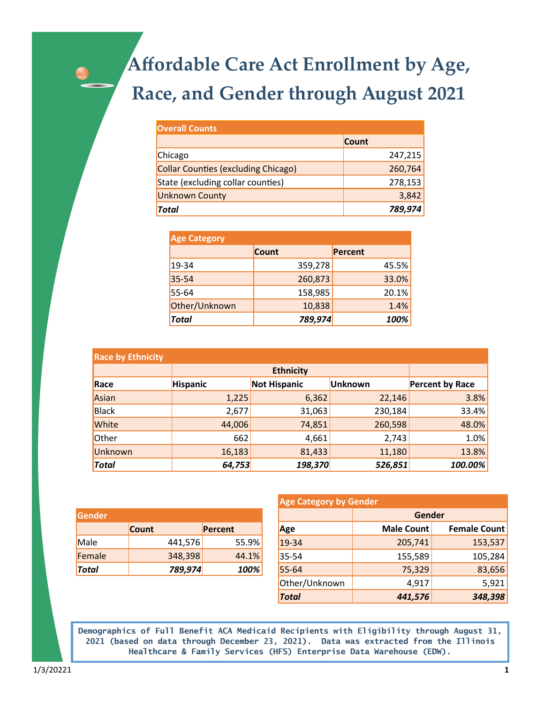## Affordable Care Act Enrollment by Age, Race, and Gender through August 2021

| <b>Overall Counts</b>               |              |
|-------------------------------------|--------------|
|                                     | <b>Count</b> |
| Chicago                             | 247,215      |
| Collar Counties (excluding Chicago) | 260,764      |
| State (excluding collar counties)   | 278,153      |
| <b>Unknown County</b>               | 3,842        |
| Total                               | 789,974      |

| <b>Age Category</b> |              |         |  |
|---------------------|--------------|---------|--|
|                     | <b>Count</b> | Percent |  |
| $19 - 34$           | 359,278      | 45.5%   |  |
| 35-54               | 260,873      | 33.0%   |  |
| 55-64               | 158,985      | 20.1%   |  |
| Other/Unknown       | 10,838       | 1.4%    |  |
| <b>Total</b>        | 789,974      | 100%    |  |

| <b>Race by Ethnicity</b> |                 |                     |         |                        |
|--------------------------|-----------------|---------------------|---------|------------------------|
|                          |                 |                     |         |                        |
| Race                     | <b>Hispanic</b> | <b>Not Hispanic</b> | Unknown | <b>Percent by Race</b> |
| Asian                    | 1,225           | 6,362               | 22,146  | 3.8%                   |
| Black                    | 2,677           | 31,063              | 230,184 | 33.4%                  |
| White                    | 44,006          | 74,851              | 260,598 | 48.0%                  |
| Other                    | 662             | 4,661               | 2,743   | 1.0%                   |
| <b>Unknown</b>           | 16,183          | 81,433              | 11,180  | 13.8%                  |
| <b>Total</b>             | 64,753          | 198,370             | 526,851 | 100.00%                |

| Gender       |              |         |  |
|--------------|--------------|---------|--|
|              | <b>Count</b> | Percent |  |
| Male         | 441,576      | 55.9%   |  |
| Female       | 348,398      | 44.1%   |  |
| <b>Total</b> | 789,974      | 100%    |  |

| <b>Age Category by Gender</b> |                   |                     |  |
|-------------------------------|-------------------|---------------------|--|
|                               | Gender            |                     |  |
| Age                           | <b>Male Count</b> | <b>Female Count</b> |  |
| $19 - 34$                     | 205,741           | 153,537             |  |
| 35-54                         | 155,589           | 105,284             |  |
| 55-64                         | 75,329            | 83,656              |  |
| Other/Unknown                 | 4,917             | 5,921               |  |
| <b>Total</b>                  | 441,576           | 348,398             |  |

Demographics of Full Benefit ACA Medicaid Recipients with Eligibility through August 31, 2021 (based on data through December 23, 2021). Data was extracted from the Illinois Healthcare & Family Services (HFS) Enterprise Data Warehouse (EDW).